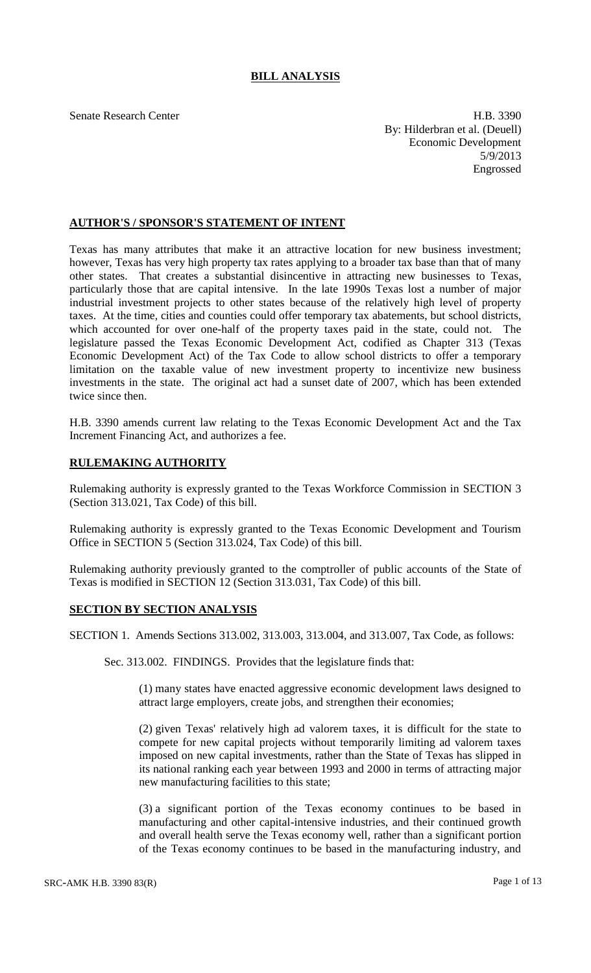# **BILL ANALYSIS**

Senate Research Center **H.B. 3390** By: Hilderbran et al. (Deuell) Economic Development 5/9/2013 Engrossed

## **AUTHOR'S / SPONSOR'S STATEMENT OF INTENT**

Texas has many attributes that make it an attractive location for new business investment; however, Texas has very high property tax rates applying to a broader tax base than that of many other states. That creates a substantial disincentive in attracting new businesses to Texas, particularly those that are capital intensive. In the late 1990s Texas lost a number of major industrial investment projects to other states because of the relatively high level of property taxes. At the time, cities and counties could offer temporary tax abatements, but school districts, which accounted for over one-half of the property taxes paid in the state, could not. The legislature passed the Texas Economic Development Act, codified as Chapter 313 (Texas Economic Development Act) of the Tax Code to allow school districts to offer a temporary limitation on the taxable value of new investment property to incentivize new business investments in the state. The original act had a sunset date of 2007, which has been extended twice since then.

H.B. 3390 amends current law relating to the Texas Economic Development Act and the Tax Increment Financing Act, and authorizes a fee.

### **RULEMAKING AUTHORITY**

Rulemaking authority is expressly granted to the Texas Workforce Commission in SECTION 3 (Section 313.021, Tax Code) of this bill.

Rulemaking authority is expressly granted to the Texas Economic Development and Tourism Office in SECTION 5 (Section 313.024, Tax Code) of this bill.

Rulemaking authority previously granted to the comptroller of public accounts of the State of Texas is modified in SECTION 12 (Section 313.031, Tax Code) of this bill.

#### **SECTION BY SECTION ANALYSIS**

SECTION 1. Amends Sections 313.002, 313.003, 313.004, and 313.007, Tax Code, as follows:

Sec. 313.002. FINDINGS. Provides that the legislature finds that:

(1) many states have enacted aggressive economic development laws designed to attract large employers, create jobs, and strengthen their economies;

(2) given Texas' relatively high ad valorem taxes, it is difficult for the state to compete for new capital projects without temporarily limiting ad valorem taxes imposed on new capital investments, rather than the State of Texas has slipped in its national ranking each year between 1993 and 2000 in terms of attracting major new manufacturing facilities to this state;

(3) a significant portion of the Texas economy continues to be based in manufacturing and other capital-intensive industries, and their continued growth and overall health serve the Texas economy well, rather than a significant portion of the Texas economy continues to be based in the manufacturing industry, and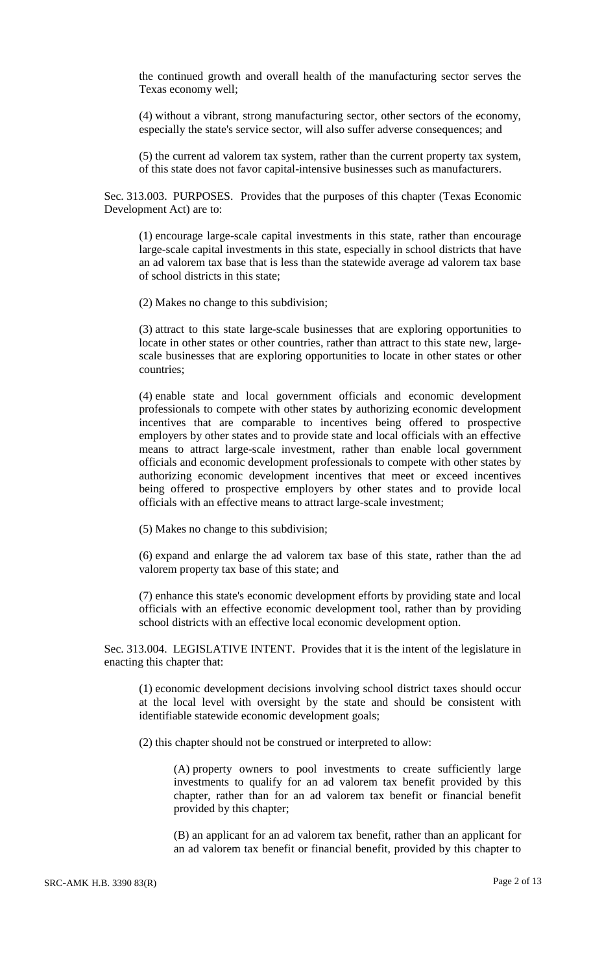the continued growth and overall health of the manufacturing sector serves the Texas economy well;

(4) without a vibrant, strong manufacturing sector, other sectors of the economy, especially the state's service sector, will also suffer adverse consequences; and

(5) the current ad valorem tax system, rather than the current property tax system, of this state does not favor capital-intensive businesses such as manufacturers.

Sec. 313.003. PURPOSES. Provides that the purposes of this chapter (Texas Economic Development Act) are to:

(1) encourage large-scale capital investments in this state, rather than encourage large-scale capital investments in this state, especially in school districts that have an ad valorem tax base that is less than the statewide average ad valorem tax base of school districts in this state;

(2) Makes no change to this subdivision;

(3) attract to this state large-scale businesses that are exploring opportunities to locate in other states or other countries, rather than attract to this state new, largescale businesses that are exploring opportunities to locate in other states or other countries;

(4) enable state and local government officials and economic development professionals to compete with other states by authorizing economic development incentives that are comparable to incentives being offered to prospective employers by other states and to provide state and local officials with an effective means to attract large-scale investment, rather than enable local government officials and economic development professionals to compete with other states by authorizing economic development incentives that meet or exceed incentives being offered to prospective employers by other states and to provide local officials with an effective means to attract large-scale investment;

(5) Makes no change to this subdivision;

(6) expand and enlarge the ad valorem tax base of this state, rather than the ad valorem property tax base of this state; and

(7) enhance this state's economic development efforts by providing state and local officials with an effective economic development tool, rather than by providing school districts with an effective local economic development option.

Sec. 313.004. LEGISLATIVE INTENT. Provides that it is the intent of the legislature in enacting this chapter that:

(1) economic development decisions involving school district taxes should occur at the local level with oversight by the state and should be consistent with identifiable statewide economic development goals;

(2) this chapter should not be construed or interpreted to allow:

(A) property owners to pool investments to create sufficiently large investments to qualify for an ad valorem tax benefit provided by this chapter, rather than for an ad valorem tax benefit or financial benefit provided by this chapter;

(B) an applicant for an ad valorem tax benefit, rather than an applicant for an ad valorem tax benefit or financial benefit, provided by this chapter to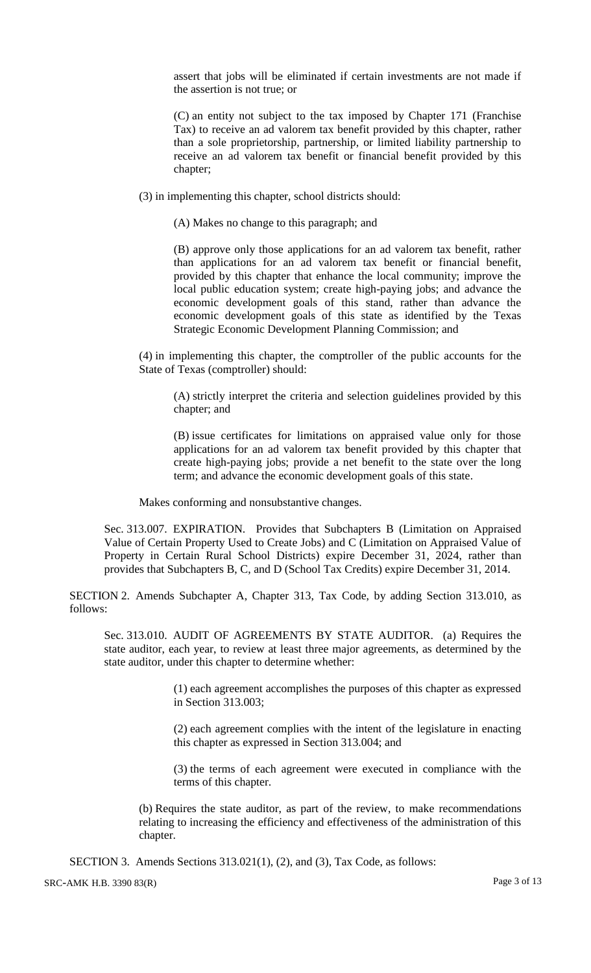assert that jobs will be eliminated if certain investments are not made if the assertion is not true; or

(C) an entity not subject to the tax imposed by Chapter 171 (Franchise Tax) to receive an ad valorem tax benefit provided by this chapter, rather than a sole proprietorship, partnership, or limited liability partnership to receive an ad valorem tax benefit or financial benefit provided by this chapter;

(3) in implementing this chapter, school districts should:

(A) Makes no change to this paragraph; and

(B) approve only those applications for an ad valorem tax benefit, rather than applications for an ad valorem tax benefit or financial benefit, provided by this chapter that enhance the local community; improve the local public education system; create high-paying jobs; and advance the economic development goals of this stand, rather than advance the economic development goals of this state as identified by the Texas Strategic Economic Development Planning Commission; and

(4) in implementing this chapter, the comptroller of the public accounts for the State of Texas (comptroller) should:

(A) strictly interpret the criteria and selection guidelines provided by this chapter; and

(B) issue certificates for limitations on appraised value only for those applications for an ad valorem tax benefit provided by this chapter that create high-paying jobs; provide a net benefit to the state over the long term; and advance the economic development goals of this state.

Makes conforming and nonsubstantive changes.

Sec. 313.007. EXPIRATION. Provides that Subchapters B (Limitation on Appraised Value of Certain Property Used to Create Jobs) and C (Limitation on Appraised Value of Property in Certain Rural School Districts) expire December 31, 2024, rather than provides that Subchapters B, C, and D (School Tax Credits) expire December 31, 2014.

SECTION 2. Amends Subchapter A, Chapter 313, Tax Code, by adding Section 313.010, as follows:

Sec. 313.010. AUDIT OF AGREEMENTS BY STATE AUDITOR. (a) Requires the state auditor, each year, to review at least three major agreements, as determined by the state auditor, under this chapter to determine whether:

> (1) each agreement accomplishes the purposes of this chapter as expressed in Section 313.003;

> (2) each agreement complies with the intent of the legislature in enacting this chapter as expressed in Section 313.004; and

> (3) the terms of each agreement were executed in compliance with the terms of this chapter.

(b) Requires the state auditor, as part of the review, to make recommendations relating to increasing the efficiency and effectiveness of the administration of this chapter.

SECTION 3. Amends Sections 313.021(1), (2), and (3), Tax Code, as follows: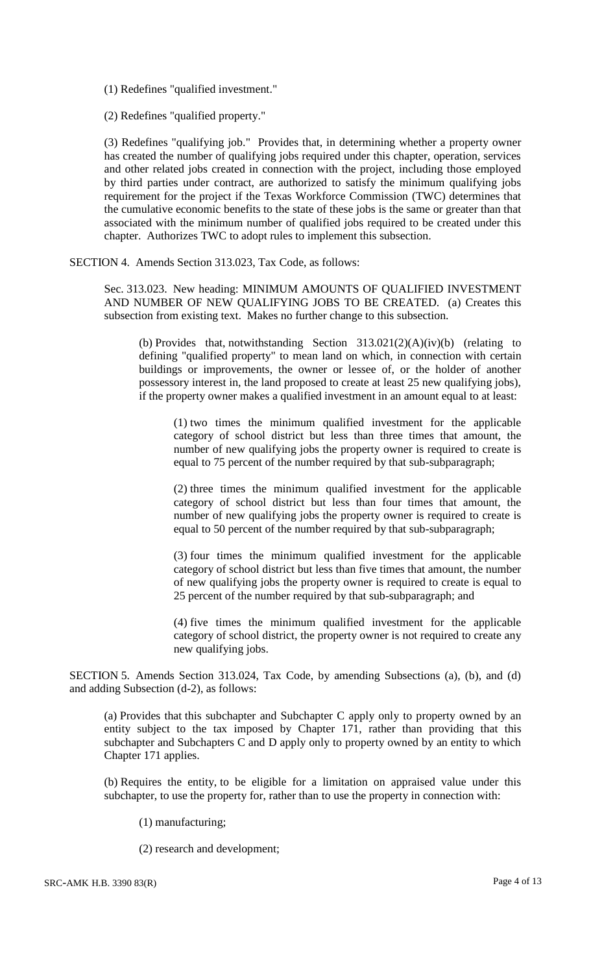(1) Redefines "qualified investment."

(2) Redefines "qualified property."

(3) Redefines "qualifying job." Provides that, in determining whether a property owner has created the number of qualifying jobs required under this chapter, operation, services and other related jobs created in connection with the project, including those employed by third parties under contract, are authorized to satisfy the minimum qualifying jobs requirement for the project if the Texas Workforce Commission (TWC) determines that the cumulative economic benefits to the state of these jobs is the same or greater than that associated with the minimum number of qualified jobs required to be created under this chapter. Authorizes TWC to adopt rules to implement this subsection.

SECTION 4. Amends Section 313.023, Tax Code, as follows:

Sec. 313.023. New heading: MINIMUM AMOUNTS OF QUALIFIED INVESTMENT AND NUMBER OF NEW QUALIFYING JOBS TO BE CREATED. (a) Creates this subsection from existing text. Makes no further change to this subsection.

(b) Provides that, notwithstanding Section  $313.021(2)(A)(iv)(b)$  (relating to defining "qualified property" to mean land on which, in connection with certain buildings or improvements, the owner or lessee of, or the holder of another possessory interest in, the land proposed to create at least 25 new qualifying jobs), if the property owner makes a qualified investment in an amount equal to at least:

(1) two times the minimum qualified investment for the applicable category of school district but less than three times that amount, the number of new qualifying jobs the property owner is required to create is equal to 75 percent of the number required by that sub-subparagraph;

(2) three times the minimum qualified investment for the applicable category of school district but less than four times that amount, the number of new qualifying jobs the property owner is required to create is equal to 50 percent of the number required by that sub-subparagraph;

(3) four times the minimum qualified investment for the applicable category of school district but less than five times that amount, the number of new qualifying jobs the property owner is required to create is equal to 25 percent of the number required by that sub-subparagraph; and

(4) five times the minimum qualified investment for the applicable category of school district, the property owner is not required to create any new qualifying jobs.

SECTION 5. Amends Section 313.024, Tax Code, by amending Subsections (a), (b), and (d) and adding Subsection (d-2), as follows:

(a) Provides that this subchapter and Subchapter C apply only to property owned by an entity subject to the tax imposed by Chapter 171, rather than providing that this subchapter and Subchapters C and D apply only to property owned by an entity to which Chapter 171 applies.

(b) Requires the entity, to be eligible for a limitation on appraised value under this subchapter, to use the property for, rather than to use the property in connection with:

- (1) manufacturing;
- (2) research and development;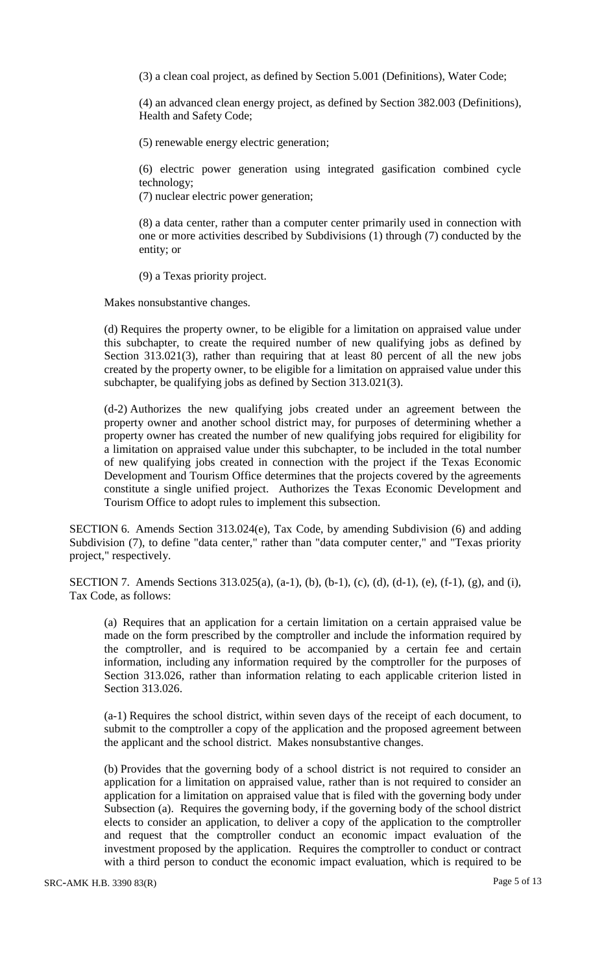(3) a clean coal project, as defined by Section 5.001 (Definitions), Water Code;

(4) an advanced clean energy project, as defined by Section 382.003 (Definitions), Health and Safety Code;

(5) renewable energy electric generation;

(6) electric power generation using integrated gasification combined cycle technology;

(7) nuclear electric power generation;

(8) a data center, rather than a computer center primarily used in connection with one or more activities described by Subdivisions (1) through (7) conducted by the entity; or

(9) a Texas priority project.

Makes nonsubstantive changes.

(d) Requires the property owner, to be eligible for a limitation on appraised value under this subchapter, to create the required number of new qualifying jobs as defined by Section 313.021(3), rather than requiring that at least 80 percent of all the new jobs created by the property owner, to be eligible for a limitation on appraised value under this subchapter, be qualifying jobs as defined by Section 313.021(3).

(d-2) Authorizes the new qualifying jobs created under an agreement between the property owner and another school district may, for purposes of determining whether a property owner has created the number of new qualifying jobs required for eligibility for a limitation on appraised value under this subchapter, to be included in the total number of new qualifying jobs created in connection with the project if the Texas Economic Development and Tourism Office determines that the projects covered by the agreements constitute a single unified project. Authorizes the Texas Economic Development and Tourism Office to adopt rules to implement this subsection.

SECTION 6. Amends Section 313.024(e), Tax Code, by amending Subdivision (6) and adding Subdivision (7), to define "data center," rather than "data computer center," and "Texas priority project," respectively.

SECTION 7. Amends Sections 313.025(a), (a-1), (b), (b-1), (c), (d), (d-1), (e), (f-1), (g), and (i), Tax Code, as follows:

(a) Requires that an application for a certain limitation on a certain appraised value be made on the form prescribed by the comptroller and include the information required by the comptroller, and is required to be accompanied by a certain fee and certain information, including any information required by the comptroller for the purposes of Section 313.026, rather than information relating to each applicable criterion listed in Section 313.026.

(a-1) Requires the school district, within seven days of the receipt of each document, to submit to the comptroller a copy of the application and the proposed agreement between the applicant and the school district. Makes nonsubstantive changes.

(b) Provides that the governing body of a school district is not required to consider an application for a limitation on appraised value, rather than is not required to consider an application for a limitation on appraised value that is filed with the governing body under Subsection (a). Requires the governing body, if the governing body of the school district elects to consider an application, to deliver a copy of the application to the comptroller and request that the comptroller conduct an economic impact evaluation of the investment proposed by the application. Requires the comptroller to conduct or contract with a third person to conduct the economic impact evaluation, which is required to be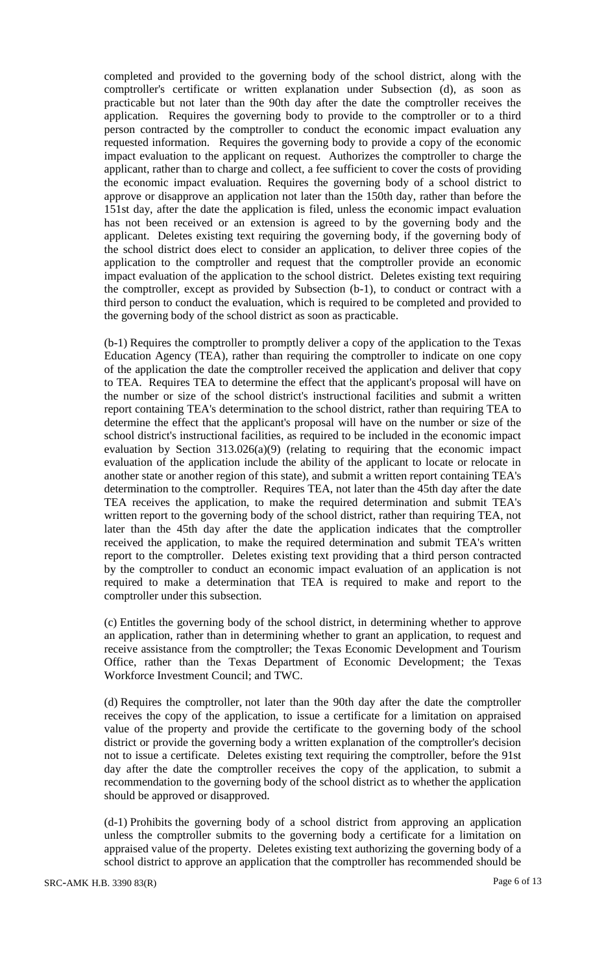completed and provided to the governing body of the school district, along with the comptroller's certificate or written explanation under Subsection (d), as soon as practicable but not later than the 90th day after the date the comptroller receives the application. Requires the governing body to provide to the comptroller or to a third person contracted by the comptroller to conduct the economic impact evaluation any requested information. Requires the governing body to provide a copy of the economic impact evaluation to the applicant on request. Authorizes the comptroller to charge the applicant, rather than to charge and collect, a fee sufficient to cover the costs of providing the economic impact evaluation. Requires the governing body of a school district to approve or disapprove an application not later than the 150th day, rather than before the 151st day, after the date the application is filed, unless the economic impact evaluation has not been received or an extension is agreed to by the governing body and the applicant. Deletes existing text requiring the governing body, if the governing body of the school district does elect to consider an application, to deliver three copies of the application to the comptroller and request that the comptroller provide an economic impact evaluation of the application to the school district. Deletes existing text requiring the comptroller, except as provided by Subsection (b-1), to conduct or contract with a third person to conduct the evaluation, which is required to be completed and provided to the governing body of the school district as soon as practicable.

(b-1) Requires the comptroller to promptly deliver a copy of the application to the Texas Education Agency (TEA), rather than requiring the comptroller to indicate on one copy of the application the date the comptroller received the application and deliver that copy to TEA. Requires TEA to determine the effect that the applicant's proposal will have on the number or size of the school district's instructional facilities and submit a written report containing TEA's determination to the school district, rather than requiring TEA to determine the effect that the applicant's proposal will have on the number or size of the school district's instructional facilities, as required to be included in the economic impact evaluation by Section 313.026(a)(9) (relating to requiring that the economic impact evaluation of the application include the ability of the applicant to locate or relocate in another state or another region of this state), and submit a written report containing TEA's determination to the comptroller. Requires TEA, not later than the 45th day after the date TEA receives the application, to make the required determination and submit TEA's written report to the governing body of the school district, rather than requiring TEA, not later than the 45th day after the date the application indicates that the comptroller received the application, to make the required determination and submit TEA's written report to the comptroller. Deletes existing text providing that a third person contracted by the comptroller to conduct an economic impact evaluation of an application is not required to make a determination that TEA is required to make and report to the comptroller under this subsection.

(c) Entitles the governing body of the school district, in determining whether to approve an application, rather than in determining whether to grant an application, to request and receive assistance from the comptroller; the Texas Economic Development and Tourism Office, rather than the Texas Department of Economic Development; the Texas Workforce Investment Council; and TWC.

(d) Requires the comptroller, not later than the 90th day after the date the comptroller receives the copy of the application, to issue a certificate for a limitation on appraised value of the property and provide the certificate to the governing body of the school district or provide the governing body a written explanation of the comptroller's decision not to issue a certificate. Deletes existing text requiring the comptroller, before the 91st day after the date the comptroller receives the copy of the application, to submit a recommendation to the governing body of the school district as to whether the application should be approved or disapproved.

(d-1) Prohibits the governing body of a school district from approving an application unless the comptroller submits to the governing body a certificate for a limitation on appraised value of the property. Deletes existing text authorizing the governing body of a school district to approve an application that the comptroller has recommended should be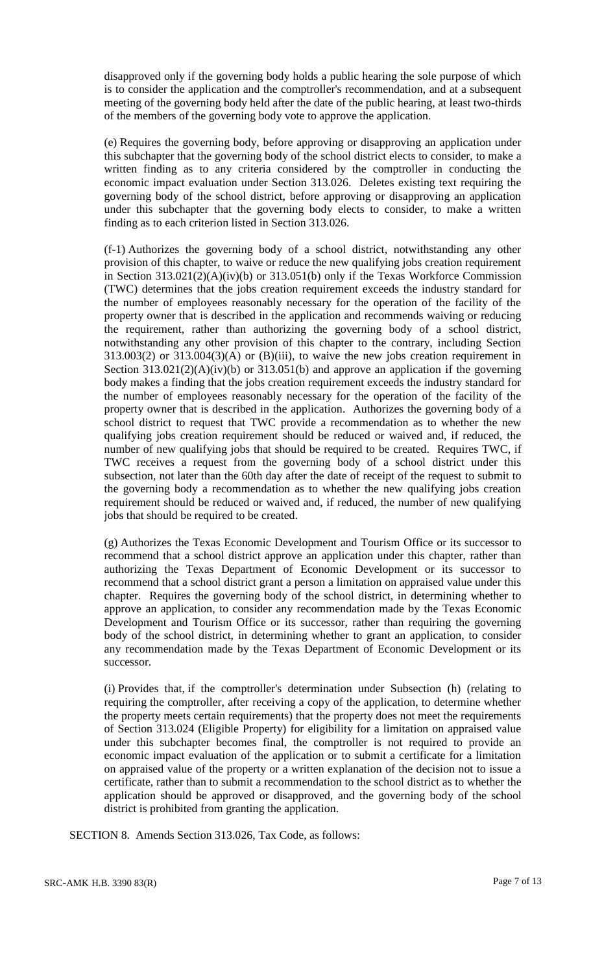disapproved only if the governing body holds a public hearing the sole purpose of which is to consider the application and the comptroller's recommendation, and at a subsequent meeting of the governing body held after the date of the public hearing, at least two-thirds of the members of the governing body vote to approve the application.

(e) Requires the governing body, before approving or disapproving an application under this subchapter that the governing body of the school district elects to consider, to make a written finding as to any criteria considered by the comptroller in conducting the economic impact evaluation under Section 313.026. Deletes existing text requiring the governing body of the school district, before approving or disapproving an application under this subchapter that the governing body elects to consider, to make a written finding as to each criterion listed in Section 313.026.

(f-1) Authorizes the governing body of a school district, notwithstanding any other provision of this chapter, to waive or reduce the new qualifying jobs creation requirement in Section 313.021(2)(A)(iv)(b) or 313.051(b) only if the Texas Workforce Commission (TWC) determines that the jobs creation requirement exceeds the industry standard for the number of employees reasonably necessary for the operation of the facility of the property owner that is described in the application and recommends waiving or reducing the requirement, rather than authorizing the governing body of a school district, notwithstanding any other provision of this chapter to the contrary, including Section  $313.003(2)$  or  $313.004(3)(A)$  or  $(B)(iii)$ , to waive the new jobs creation requirement in Section  $313.021(2)(A)(iv)(b)$  or  $313.051(b)$  and approve an application if the governing body makes a finding that the jobs creation requirement exceeds the industry standard for the number of employees reasonably necessary for the operation of the facility of the property owner that is described in the application. Authorizes the governing body of a school district to request that TWC provide a recommendation as to whether the new qualifying jobs creation requirement should be reduced or waived and, if reduced, the number of new qualifying jobs that should be required to be created. Requires TWC, if TWC receives a request from the governing body of a school district under this subsection, not later than the 60th day after the date of receipt of the request to submit to the governing body a recommendation as to whether the new qualifying jobs creation requirement should be reduced or waived and, if reduced, the number of new qualifying jobs that should be required to be created.

(g) Authorizes the Texas Economic Development and Tourism Office or its successor to recommend that a school district approve an application under this chapter, rather than authorizing the Texas Department of Economic Development or its successor to recommend that a school district grant a person a limitation on appraised value under this chapter. Requires the governing body of the school district, in determining whether to approve an application, to consider any recommendation made by the Texas Economic Development and Tourism Office or its successor, rather than requiring the governing body of the school district, in determining whether to grant an application, to consider any recommendation made by the Texas Department of Economic Development or its successor.

(i) Provides that, if the comptroller's determination under Subsection (h) (relating to requiring the comptroller, after receiving a copy of the application, to determine whether the property meets certain requirements) that the property does not meet the requirements of Section 313.024 (Eligible Property) for eligibility for a limitation on appraised value under this subchapter becomes final, the comptroller is not required to provide an economic impact evaluation of the application or to submit a certificate for a limitation on appraised value of the property or a written explanation of the decision not to issue a certificate, rather than to submit a recommendation to the school district as to whether the application should be approved or disapproved, and the governing body of the school district is prohibited from granting the application.

SECTION 8. Amends Section 313.026, Tax Code, as follows: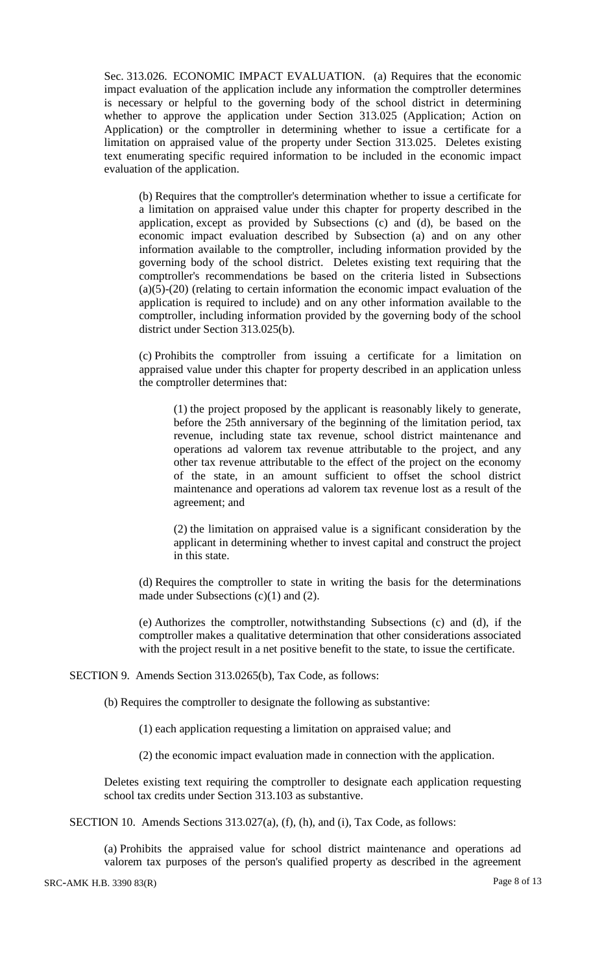Sec. 313.026. ECONOMIC IMPACT EVALUATION. (a) Requires that the economic impact evaluation of the application include any information the comptroller determines is necessary or helpful to the governing body of the school district in determining whether to approve the application under Section 313.025 (Application; Action on Application) or the comptroller in determining whether to issue a certificate for a limitation on appraised value of the property under Section 313.025. Deletes existing text enumerating specific required information to be included in the economic impact evaluation of the application.

(b) Requires that the comptroller's determination whether to issue a certificate for a limitation on appraised value under this chapter for property described in the application, except as provided by Subsections (c) and (d), be based on the economic impact evaluation described by Subsection (a) and on any other information available to the comptroller, including information provided by the governing body of the school district. Deletes existing text requiring that the comptroller's recommendations be based on the criteria listed in Subsections  $(a)(5)-(20)$  (relating to certain information the economic impact evaluation of the application is required to include) and on any other information available to the comptroller, including information provided by the governing body of the school district under Section 313.025(b).

(c) Prohibits the comptroller from issuing a certificate for a limitation on appraised value under this chapter for property described in an application unless the comptroller determines that:

(1) the project proposed by the applicant is reasonably likely to generate, before the 25th anniversary of the beginning of the limitation period, tax revenue, including state tax revenue, school district maintenance and operations ad valorem tax revenue attributable to the project, and any other tax revenue attributable to the effect of the project on the economy of the state, in an amount sufficient to offset the school district maintenance and operations ad valorem tax revenue lost as a result of the agreement; and

(2) the limitation on appraised value is a significant consideration by the applicant in determining whether to invest capital and construct the project in this state.

(d) Requires the comptroller to state in writing the basis for the determinations made under Subsections (c)(1) and (2).

(e) Authorizes the comptroller, notwithstanding Subsections (c) and (d), if the comptroller makes a qualitative determination that other considerations associated with the project result in a net positive benefit to the state, to issue the certificate.

SECTION 9. Amends Section 313.0265(b), Tax Code, as follows:

(b) Requires the comptroller to designate the following as substantive:

(1) each application requesting a limitation on appraised value; and

(2) the economic impact evaluation made in connection with the application.

Deletes existing text requiring the comptroller to designate each application requesting school tax credits under Section 313.103 as substantive.

SECTION 10. Amends Sections 313.027(a), (f), (h), and (i), Tax Code, as follows:

(a) Prohibits the appraised value for school district maintenance and operations ad valorem tax purposes of the person's qualified property as described in the agreement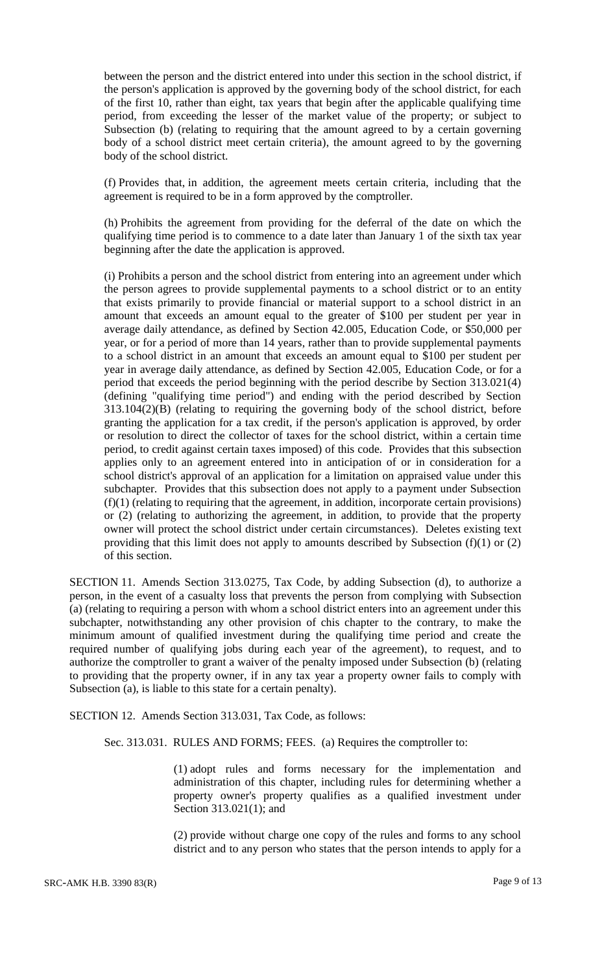between the person and the district entered into under this section in the school district, if the person's application is approved by the governing body of the school district, for each of the first 10, rather than eight, tax years that begin after the applicable qualifying time period, from exceeding the lesser of the market value of the property; or subject to Subsection (b) (relating to requiring that the amount agreed to by a certain governing body of a school district meet certain criteria), the amount agreed to by the governing body of the school district.

(f) Provides that, in addition, the agreement meets certain criteria, including that the agreement is required to be in a form approved by the comptroller.

(h) Prohibits the agreement from providing for the deferral of the date on which the qualifying time period is to commence to a date later than January 1 of the sixth tax year beginning after the date the application is approved.

(i) Prohibits a person and the school district from entering into an agreement under which the person agrees to provide supplemental payments to a school district or to an entity that exists primarily to provide financial or material support to a school district in an amount that exceeds an amount equal to the greater of \$100 per student per year in average daily attendance, as defined by Section 42.005, Education Code, or \$50,000 per year, or for a period of more than 14 years, rather than to provide supplemental payments to a school district in an amount that exceeds an amount equal to \$100 per student per year in average daily attendance, as defined by Section 42.005, Education Code, or for a period that exceeds the period beginning with the period describe by Section 313.021(4) (defining "qualifying time period") and ending with the period described by Section 313.104(2)(B) (relating to requiring the governing body of the school district, before granting the application for a tax credit, if the person's application is approved, by order or resolution to direct the collector of taxes for the school district, within a certain time period, to credit against certain taxes imposed) of this code. Provides that this subsection applies only to an agreement entered into in anticipation of or in consideration for a school district's approval of an application for a limitation on appraised value under this subchapter. Provides that this subsection does not apply to a payment under Subsection (f)(1) (relating to requiring that the agreement, in addition, incorporate certain provisions) or (2) (relating to authorizing the agreement, in addition, to provide that the property owner will protect the school district under certain circumstances). Deletes existing text providing that this limit does not apply to amounts described by Subsection (f)(1) or (2) of this section.

SECTION 11. Amends Section 313.0275, Tax Code, by adding Subsection (d), to authorize a person, in the event of a casualty loss that prevents the person from complying with Subsection (a) (relating to requiring a person with whom a school district enters into an agreement under this subchapter, notwithstanding any other provision of chis chapter to the contrary, to make the minimum amount of qualified investment during the qualifying time period and create the required number of qualifying jobs during each year of the agreement), to request, and to authorize the comptroller to grant a waiver of the penalty imposed under Subsection (b) (relating to providing that the property owner, if in any tax year a property owner fails to comply with Subsection (a), is liable to this state for a certain penalty).

SECTION 12. Amends Section 313.031, Tax Code, as follows:

Sec. 313.031. RULES AND FORMS; FEES. (a) Requires the comptroller to:

(1) adopt rules and forms necessary for the implementation and administration of this chapter, including rules for determining whether a property owner's property qualifies as a qualified investment under Section 313.021(1); and

(2) provide without charge one copy of the rules and forms to any school district and to any person who states that the person intends to apply for a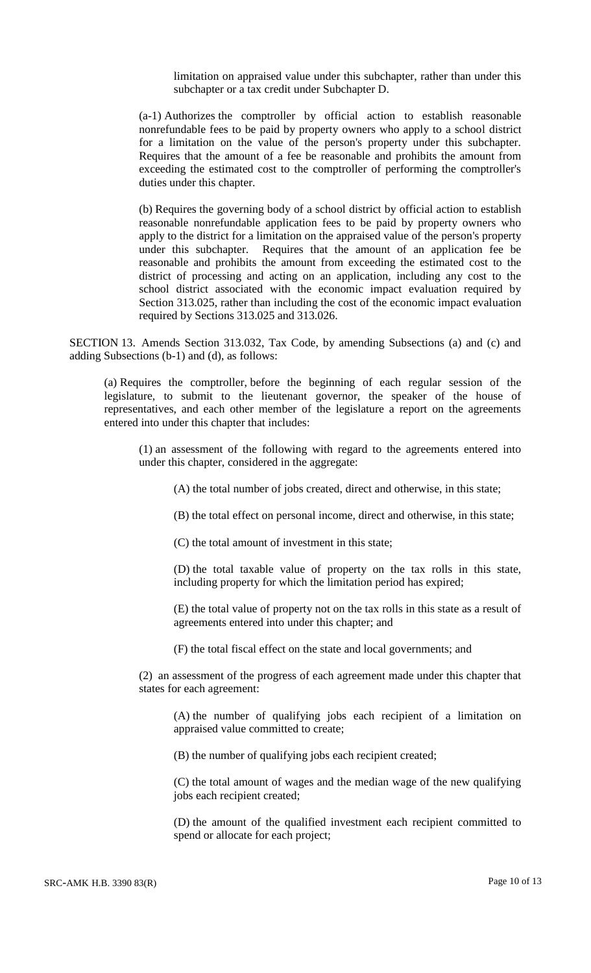limitation on appraised value under this subchapter, rather than under this subchapter or a tax credit under Subchapter D.

(a-1) Authorizes the comptroller by official action to establish reasonable nonrefundable fees to be paid by property owners who apply to a school district for a limitation on the value of the person's property under this subchapter. Requires that the amount of a fee be reasonable and prohibits the amount from exceeding the estimated cost to the comptroller of performing the comptroller's duties under this chapter.

(b) Requires the governing body of a school district by official action to establish reasonable nonrefundable application fees to be paid by property owners who apply to the district for a limitation on the appraised value of the person's property under this subchapter. Requires that the amount of an application fee be reasonable and prohibits the amount from exceeding the estimated cost to the district of processing and acting on an application, including any cost to the school district associated with the economic impact evaluation required by Section 313.025, rather than including the cost of the economic impact evaluation required by Sections 313.025 and 313.026.

SECTION 13. Amends Section 313.032, Tax Code, by amending Subsections (a) and (c) and adding Subsections (b-1) and (d), as follows:

(a) Requires the comptroller, before the beginning of each regular session of the legislature, to submit to the lieutenant governor, the speaker of the house of representatives, and each other member of the legislature a report on the agreements entered into under this chapter that includes:

(1) an assessment of the following with regard to the agreements entered into under this chapter, considered in the aggregate:

(A) the total number of jobs created, direct and otherwise, in this state;

(B) the total effect on personal income, direct and otherwise, in this state;

(C) the total amount of investment in this state;

(D) the total taxable value of property on the tax rolls in this state, including property for which the limitation period has expired;

(E) the total value of property not on the tax rolls in this state as a result of agreements entered into under this chapter; and

(F) the total fiscal effect on the state and local governments; and

(2) an assessment of the progress of each agreement made under this chapter that states for each agreement:

(A) the number of qualifying jobs each recipient of a limitation on appraised value committed to create;

(B) the number of qualifying jobs each recipient created;

(C) the total amount of wages and the median wage of the new qualifying jobs each recipient created;

(D) the amount of the qualified investment each recipient committed to spend or allocate for each project;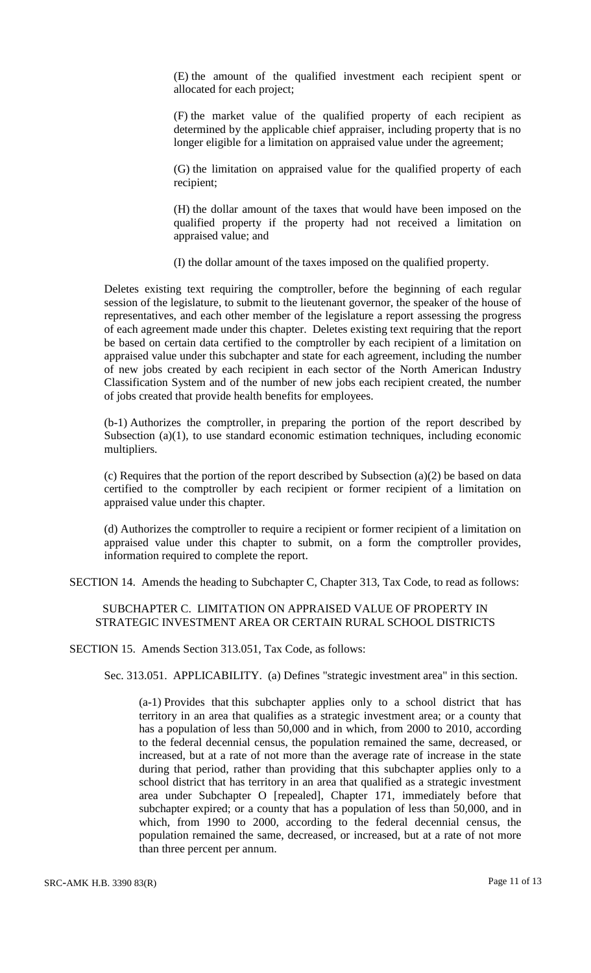(E) the amount of the qualified investment each recipient spent or allocated for each project;

(F) the market value of the qualified property of each recipient as determined by the applicable chief appraiser, including property that is no longer eligible for a limitation on appraised value under the agreement;

(G) the limitation on appraised value for the qualified property of each recipient;

(H) the dollar amount of the taxes that would have been imposed on the qualified property if the property had not received a limitation on appraised value; and

(I) the dollar amount of the taxes imposed on the qualified property.

Deletes existing text requiring the comptroller, before the beginning of each regular session of the legislature, to submit to the lieutenant governor, the speaker of the house of representatives, and each other member of the legislature a report assessing the progress of each agreement made under this chapter. Deletes existing text requiring that the report be based on certain data certified to the comptroller by each recipient of a limitation on appraised value under this subchapter and state for each agreement, including the number of new jobs created by each recipient in each sector of the North American Industry Classification System and of the number of new jobs each recipient created, the number of jobs created that provide health benefits for employees.

(b-1) Authorizes the comptroller, in preparing the portion of the report described by Subsection (a)(1), to use standard economic estimation techniques, including economic multipliers.

(c) Requires that the portion of the report described by Subsection (a)(2) be based on data certified to the comptroller by each recipient or former recipient of a limitation on appraised value under this chapter.

(d) Authorizes the comptroller to require a recipient or former recipient of a limitation on appraised value under this chapter to submit, on a form the comptroller provides, information required to complete the report.

SECTION 14. Amends the heading to Subchapter C, Chapter 313, Tax Code, to read as follows:

# SUBCHAPTER C. LIMITATION ON APPRAISED VALUE OF PROPERTY IN STRATEGIC INVESTMENT AREA OR CERTAIN RURAL SCHOOL DISTRICTS

SECTION 15. Amends Section 313.051, Tax Code, as follows:

Sec. 313.051. APPLICABILITY. (a) Defines "strategic investment area" in this section.

(a-1) Provides that this subchapter applies only to a school district that has territory in an area that qualifies as a strategic investment area; or a county that has a population of less than 50,000 and in which, from 2000 to 2010, according to the federal decennial census, the population remained the same, decreased, or increased, but at a rate of not more than the average rate of increase in the state during that period, rather than providing that this subchapter applies only to a school district that has territory in an area that qualified as a strategic investment area under Subchapter O [repealed], Chapter 171, immediately before that subchapter expired; or a county that has a population of less than 50,000, and in which, from 1990 to 2000, according to the federal decennial census, the population remained the same, decreased, or increased, but at a rate of not more than three percent per annum.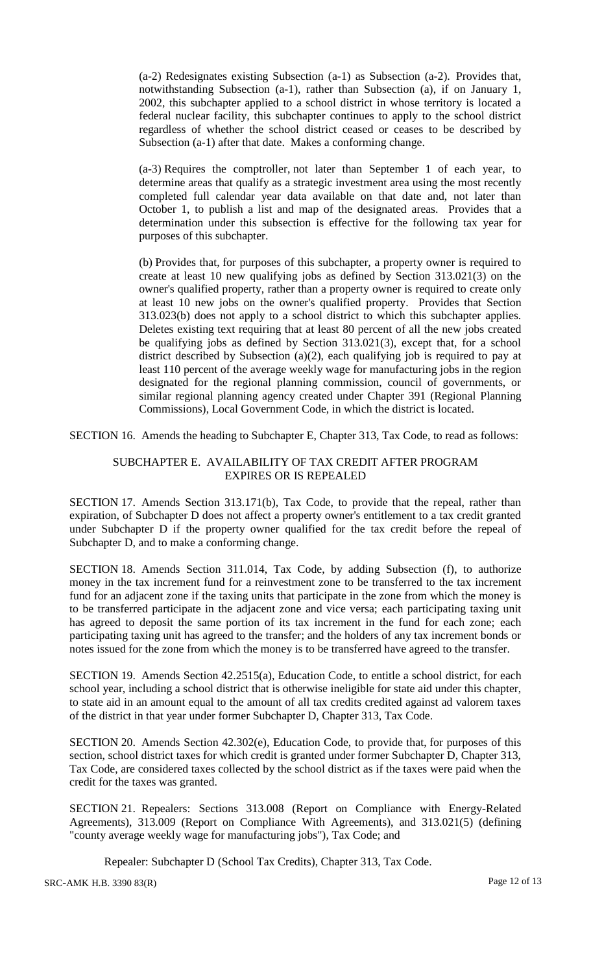(a-2) Redesignates existing Subsection (a-1) as Subsection (a-2). Provides that, notwithstanding Subsection (a-1), rather than Subsection (a), if on January 1, 2002, this subchapter applied to a school district in whose territory is located a federal nuclear facility, this subchapter continues to apply to the school district regardless of whether the school district ceased or ceases to be described by Subsection (a-1) after that date. Makes a conforming change.

(a-3) Requires the comptroller, not later than September 1 of each year, to determine areas that qualify as a strategic investment area using the most recently completed full calendar year data available on that date and, not later than October 1, to publish a list and map of the designated areas. Provides that a determination under this subsection is effective for the following tax year for purposes of this subchapter.

(b) Provides that, for purposes of this subchapter, a property owner is required to create at least 10 new qualifying jobs as defined by Section 313.021(3) on the owner's qualified property, rather than a property owner is required to create only at least 10 new jobs on the owner's qualified property. Provides that Section 313.023(b) does not apply to a school district to which this subchapter applies. Deletes existing text requiring that at least 80 percent of all the new jobs created be qualifying jobs as defined by Section 313.021(3), except that, for a school district described by Subsection (a)(2), each qualifying job is required to pay at least 110 percent of the average weekly wage for manufacturing jobs in the region designated for the regional planning commission, council of governments, or similar regional planning agency created under Chapter 391 (Regional Planning Commissions), Local Government Code, in which the district is located.

SECTION 16. Amends the heading to Subchapter E, Chapter 313, Tax Code, to read as follows:

### SUBCHAPTER E. AVAILABILITY OF TAX CREDIT AFTER PROGRAM EXPIRES OR IS REPEALED

SECTION 17. Amends Section 313.171(b), Tax Code, to provide that the repeal, rather than expiration, of Subchapter D does not affect a property owner's entitlement to a tax credit granted under Subchapter D if the property owner qualified for the tax credit before the repeal of Subchapter D, and to make a conforming change.

SECTION 18. Amends Section 311.014, Tax Code, by adding Subsection (f), to authorize money in the tax increment fund for a reinvestment zone to be transferred to the tax increment fund for an adjacent zone if the taxing units that participate in the zone from which the money is to be transferred participate in the adjacent zone and vice versa; each participating taxing unit has agreed to deposit the same portion of its tax increment in the fund for each zone; each participating taxing unit has agreed to the transfer; and the holders of any tax increment bonds or notes issued for the zone from which the money is to be transferred have agreed to the transfer.

SECTION 19. Amends Section 42.2515(a), Education Code, to entitle a school district, for each school year, including a school district that is otherwise ineligible for state aid under this chapter, to state aid in an amount equal to the amount of all tax credits credited against ad valorem taxes of the district in that year under former Subchapter D, Chapter 313, Tax Code.

SECTION 20. Amends Section 42.302(e), Education Code, to provide that, for purposes of this section, school district taxes for which credit is granted under former Subchapter D, Chapter 313, Tax Code, are considered taxes collected by the school district as if the taxes were paid when the credit for the taxes was granted.

SECTION 21. Repealers: Sections 313.008 (Report on Compliance with Energy-Related Agreements), 313.009 (Report on Compliance With Agreements), and 313.021(5) (defining "county average weekly wage for manufacturing jobs"), Tax Code; and

Repealer: Subchapter D (School Tax Credits), Chapter 313, Tax Code.

SRC-AMK H.B. 3390 83(R) Page 12 of 13